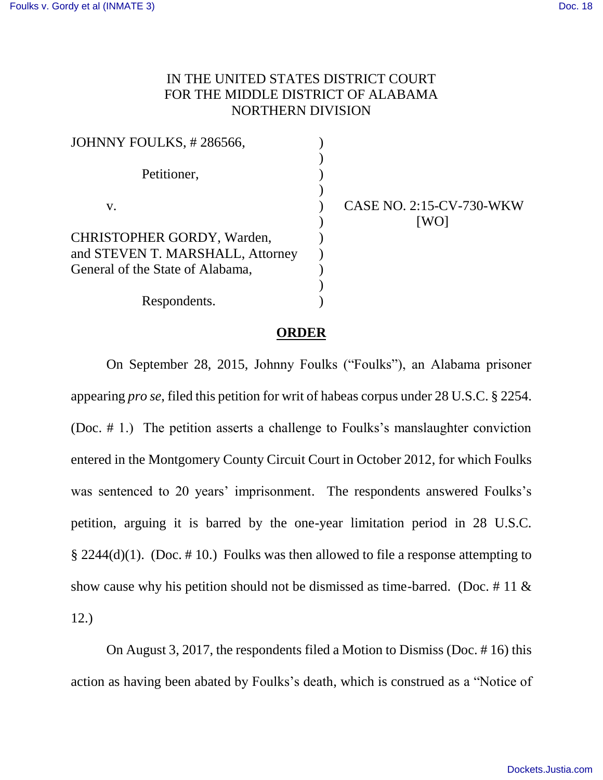## IN THE UNITED STATES DISTRICT COURT FOR THE MIDDLE DISTRICT OF ALABAMA NORTHERN DIVISION

| JOHNNY FOULKS, #286566,          |                                  |
|----------------------------------|----------------------------------|
| Petitioner,                      |                                  |
| V.                               | CASE NO. 2:15-CV-730-WKW<br>[WO] |
| CHRISTOPHER GORDY, Warden,       |                                  |
| and STEVEN T. MARSHALL, Attorney |                                  |
| General of the State of Alabama, |                                  |
|                                  |                                  |
| Respondents.                     |                                  |

## **ORDER**

On September 28, 2015, Johnny Foulks ("Foulks"), an Alabama prisoner appearing *pro se*, filed this petition for writ of habeas corpus under 28 U.S.C. § 2254. (Doc. # 1.) The petition asserts a challenge to Foulks's manslaughter conviction entered in the Montgomery County Circuit Court in October 2012, for which Foulks was sentenced to 20 years' imprisonment. The respondents answered Foulks's petition, arguing it is barred by the one-year limitation period in 28 U.S.C. § 2244(d)(1). (Doc. # 10.) Foulks was then allowed to file a response attempting to show cause why his petition should not be dismissed as time-barred. (Doc.  $\#$  11  $\&$ 12.)

On August 3, 2017, the respondents filed a Motion to Dismiss (Doc. # 16) this action as having been abated by Foulks's death, which is construed as a "Notice of